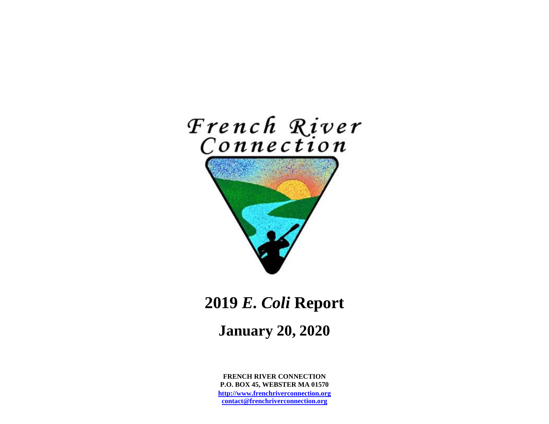

# **2019** *E. Coli* **Report**

# **January 20, 2020**

**FRENCH RIVER CONNECTION P.O. BOX 45, WEBSTER MA 01570 [http://www.frenchriverconnection.org](http://www.frenchriverconnection.org/) [contact@frenchriverconnection.org](mailto:contact@frenchriverconnection.org)**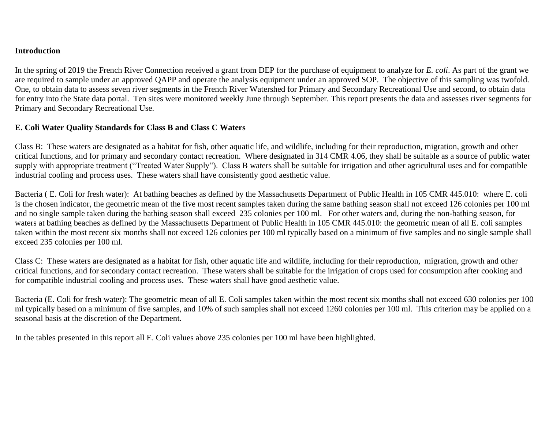#### **Introduction**

In the spring of 2019 the French River Connection received a grant from DEP for the purchase of equipment to analyze for *E. coli*. As part of the grant we are required to sample under an approved QAPP and operate the analysis equipment under an approved SOP. The objective of this sampling was twofold. One, to obtain data to assess seven river segments in the French River Watershed for Primary and Secondary Recreational Use and second, to obtain data for entry into the State data portal. Ten sites were monitored weekly June through September. This report presents the data and assesses river segments for Primary and Secondary Recreational Use.

# **E. Coli Water Quality Standards for Class B and Class C Waters**

Class B: These waters are designated as a habitat for fish, other aquatic life, and wildlife, including for their reproduction, migration, growth and other critical functions, and for primary and secondary contact recreation. Where designated in 314 CMR 4.06, they shall be suitable as a source of public water supply with appropriate treatment ("Treated Water Supply"). Class B waters shall be suitable for irrigation and other agricultural uses and for compatible industrial cooling and process uses. These waters shall have consistently good aesthetic value.

Bacteria ( E. Coli for fresh water): At bathing beaches as defined by the Massachusetts Department of Public Health in 105 CMR 445.010: where E. coli is the chosen indicator, the geometric mean of the five most recent samples taken during the same bathing season shall not exceed 126 colonies per 100 ml and no single sample taken during the bathing season shall exceed 235 colonies per 100 ml. For other waters and, during the non-bathing season, for waters at bathing beaches as defined by the Massachusetts Department of Public Health in 105 CMR 445.010: the geometric mean of all E. coli samples taken within the most recent six months shall not exceed 126 colonies per 100 ml typically based on a minimum of five samples and no single sample shall exceed 235 colonies per 100 ml.

Class C: These waters are designated as a habitat for fish, other aquatic life and wildlife, including for their reproduction, migration, growth and other critical functions, and for secondary contact recreation. These waters shall be suitable for the irrigation of crops used for consumption after cooking and for compatible industrial cooling and process uses. These waters shall have good aesthetic value.

Bacteria (E. Coli for fresh water): The geometric mean of all E. Coli samples taken within the most recent six months shall not exceed 630 colonies per 100 ml typically based on a minimum of five samples, and 10% of such samples shall not exceed 1260 colonies per 100 ml. This criterion may be applied on a seasonal basis at the discretion of the Department.

In the tables presented in this report all E. Coli values above 235 colonies per 100 ml have been highlighted.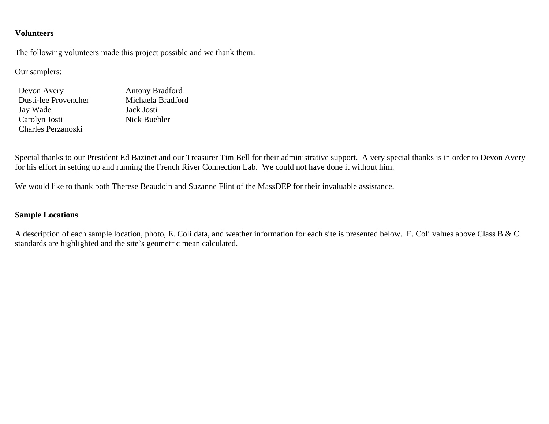#### **Volunteers**

The following volunteers made this project possible and we thank them:

Our samplers:

| Devon Avery          | <b>Antony Bradford</b> |
|----------------------|------------------------|
| Dusti-lee Provencher | Michaela Bradford      |
| Jay Wade             | Jack Josti             |
| Carolyn Josti        | Nick Buehler           |
| Charles Perzanoski   |                        |

Special thanks to our President Ed Bazinet and our Treasurer Tim Bell for their administrative support. A very special thanks is in order to Devon Avery for his effort in setting up and running the French River Connection Lab. We could not have done it without him.

We would like to thank both Therese Beaudoin and Suzanne Flint of the MassDEP for their invaluable assistance.

# **Sample Locations**

A description of each sample location, photo, E. Coli data, and weather information for each site is presented below. E. Coli values above Class B & C standards are highlighted and the site's geometric mean calculated.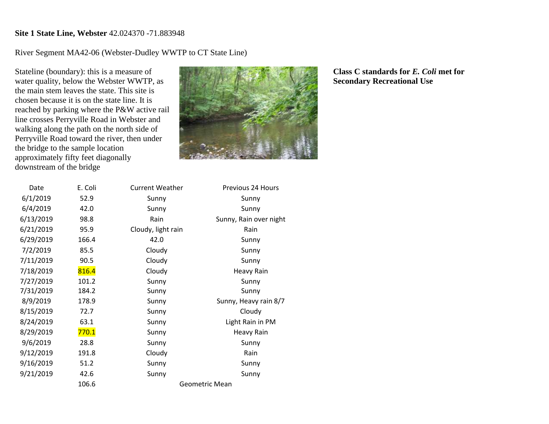## **Site 1 State Line, Webster** 42.024370 -71.883948

River Segment MA42-06 (Webster-Dudley WWTP to CT State Line)

Stateline (boundary): this is a measure of water quality, below the Webster WWTP, as the main stem leaves the state. This site is chosen because it is on the state line. It is reached by parking where the P&W active rail line crosses Perryville Road in Webster and walking along the path on the north side of Perryville Road toward the river, then under the bridge to the sample location approximately fifty feet diagonally downstream of the bridge



| Date      | E. Coli | <b>Current Weather</b> | Previous 24 Hours      |
|-----------|---------|------------------------|------------------------|
| 6/1/2019  | 52.9    | Sunny                  | Sunny                  |
| 6/4/2019  | 42.0    | Sunny                  | Sunny                  |
| 6/13/2019 | 98.8    | Rain                   | Sunny, Rain over night |
| 6/21/2019 | 95.9    | Cloudy, light rain     | Rain                   |
| 6/29/2019 | 166.4   | 42.0                   | Sunny                  |
| 7/2/2019  | 85.5    | Cloudy                 | Sunny                  |
| 7/11/2019 | 90.5    | Cloudy                 | Sunny                  |
| 7/18/2019 | 816.4   | Cloudy                 | <b>Heavy Rain</b>      |
| 7/27/2019 | 101.2   | Sunny                  | Sunny                  |
| 7/31/2019 | 184.2   | Sunny                  | Sunny                  |
| 8/9/2019  | 178.9   | Sunny                  | Sunny, Heavy rain 8/7  |
| 8/15/2019 | 72.7    | Sunny                  | Cloudy                 |
| 8/24/2019 | 63.1    | Sunny                  | Light Rain in PM       |
| 8/29/2019 | 770.1   | Sunny                  | Heavy Rain             |
| 9/6/2019  | 28.8    | Sunny                  | Sunny                  |
| 9/12/2019 | 191.8   | Cloudy                 | Rain                   |
| 9/16/2019 | 51.2    | Sunny                  | Sunny                  |
| 9/21/2019 | 42.6    | Sunny                  | Sunny                  |
|           | 106.6   |                        | Geometric Mean         |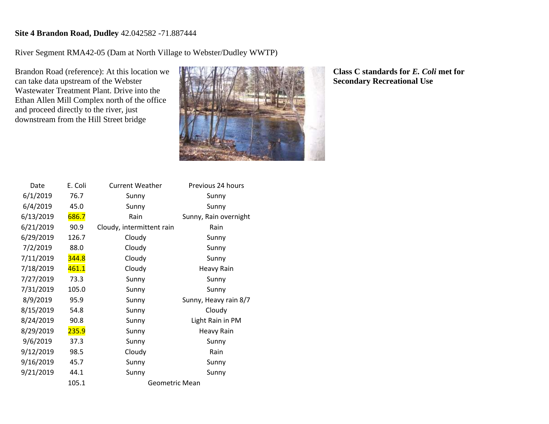# **Site 4 Brandon Road, Dudley** 42.042582 -71.887444

River Segment RMA42-05 (Dam at North Village to Webster/Dudley WWTP)

Brandon Road (reference): At this location we can take data upstream of the Webster Wastewater Treatment Plant. Drive into the Ethan Allen Mill Complex north of the office and proceed directly to the river, just downstream from the Hill Street bridge



| Date      | E. Coli | <b>Current Weather</b>    | Previous 24 hours     |
|-----------|---------|---------------------------|-----------------------|
| 6/1/2019  | 76.7    | Sunny                     | Sunny                 |
| 6/4/2019  | 45.0    | Sunny                     | Sunny                 |
| 6/13/2019 | 686.7   | Rain                      | Sunny, Rain overnight |
| 6/21/2019 | 90.9    | Cloudy, intermittent rain | Rain                  |
| 6/29/2019 | 126.7   | Cloudy                    | Sunny                 |
| 7/2/2019  | 88.0    | Cloudy                    | Sunny                 |
| 7/11/2019 | 344.8   | Cloudy                    | Sunny                 |
| 7/18/2019 | 461.1   | Cloudy                    | <b>Heavy Rain</b>     |
| 7/27/2019 | 73.3    | Sunny                     | Sunny                 |
| 7/31/2019 | 105.0   | Sunny                     | Sunny                 |
| 8/9/2019  | 95.9    | Sunny                     | Sunny, Heavy rain 8/7 |
| 8/15/2019 | 54.8    | Sunny                     | Cloudy                |
| 8/24/2019 | 90.8    | Sunny                     | Light Rain in PM      |
| 8/29/2019 | 235.9   | Sunny                     | <b>Heavy Rain</b>     |
| 9/6/2019  | 37.3    | Sunny                     | Sunny                 |
| 9/12/2019 | 98.5    | Cloudy                    | Rain                  |
| 9/16/2019 | 45.7    | Sunny                     | Sunny                 |
| 9/21/2019 | 44.1    | Sunny                     | Sunny                 |
|           | 105.1   | <b>Geometric Mean</b>     |                       |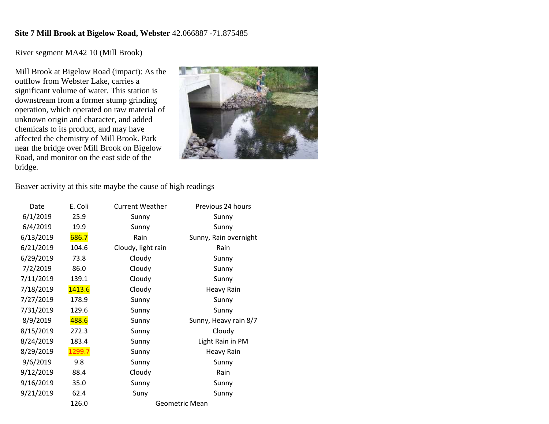#### **Site 7 Mill Brook at Bigelow Road, Webster** 42.066887 -71.875485

River segment MA42 10 (Mill Brook)

Mill Brook at Bigelow Road (impact): As the outflow from Webster Lake, carries a significant volume of water. This station is downstream from a former stump grinding operation, which operated on raw material of unknown origin and character, and added chemicals to its product, and may have affected the chemistry of Mill Brook. Park near the bridge over Mill Brook on Bigelow Road, and monitor on the east side of the bridge.



Beaver activity at this site maybe the cause of high readings

| Date      | E. Coli | <b>Current Weather</b> | Previous 24 hours     |
|-----------|---------|------------------------|-----------------------|
| 6/1/2019  | 25.9    | Sunny                  | Sunny                 |
| 6/4/2019  | 19.9    | Sunny                  | Sunny                 |
| 6/13/2019 | 686.7   | Rain                   | Sunny, Rain overnight |
| 6/21/2019 | 104.6   | Cloudy, light rain     | Rain                  |
| 6/29/2019 | 73.8    | Cloudy                 | Sunny                 |
| 7/2/2019  | 86.0    | Cloudy                 | Sunny                 |
| 7/11/2019 | 139.1   | Cloudy                 | Sunny                 |
| 7/18/2019 | 1413.6  | Cloudy                 | Heavy Rain            |
| 7/27/2019 | 178.9   | Sunny                  | Sunny                 |
| 7/31/2019 | 129.6   | Sunny                  | Sunny                 |
| 8/9/2019  | 488.6   | Sunny                  | Sunny, Heavy rain 8/7 |
| 8/15/2019 | 272.3   | Sunny                  | Cloudy                |
| 8/24/2019 | 183.4   | Sunny                  | Light Rain in PM      |
| 8/29/2019 | 1299.7  | Sunny                  | <b>Heavy Rain</b>     |
| 9/6/2019  | 9.8     | Sunny                  | Sunny                 |
| 9/12/2019 | 88.4    | Cloudy                 | Rain                  |
| 9/16/2019 | 35.0    | Sunny                  | Sunny                 |
| 9/21/2019 | 62.4    | Suny                   | Sunny                 |
|           | 126.0   |                        | Geometric Mean        |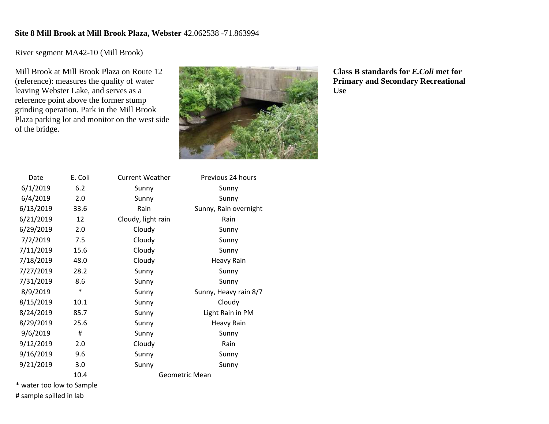#### **Site 8 Mill Brook at Mill Brook Plaza, Webster** 42.062538 -71.863994

River segment MA42-10 (Mill Brook)

Mill Brook at Mill Brook Plaza on Route 12 (reference): measures the quality of water leaving Webster Lake, and serves as a reference point above the former stump grinding operation. Park in the Mill Brook Plaza parking lot and monitor on the west side of the bridge.



**Class B standards for** *E.Coli* **met for Primary and Secondary Recreational Use**

| Date      | E. Coli | <b>Current Weather</b> | Previous 24 hours     |
|-----------|---------|------------------------|-----------------------|
| 6/1/2019  | 6.2     | Sunny                  | Sunny                 |
| 6/4/2019  | 2.0     | Sunny                  | Sunny                 |
| 6/13/2019 | 33.6    | Rain                   | Sunny, Rain overnight |
| 6/21/2019 | 12      | Cloudy, light rain     | Rain                  |
| 6/29/2019 | 2.0     | Cloudy                 | Sunny                 |
| 7/2/2019  | 7.5     | Cloudy                 | Sunny                 |
| 7/11/2019 | 15.6    | Cloudy                 | Sunny                 |
| 7/18/2019 | 48.0    | Cloudy                 | <b>Heavy Rain</b>     |
| 7/27/2019 | 28.2    | Sunny                  | Sunny                 |
| 7/31/2019 | 8.6     | Sunny                  | Sunny                 |
| 8/9/2019  | $\ast$  | Sunny                  | Sunny, Heavy rain 8/7 |
| 8/15/2019 | 10.1    | Sunny                  | Cloudy                |
| 8/24/2019 | 85.7    | Sunny                  | Light Rain in PM      |
| 8/29/2019 | 25.6    | Sunny                  | <b>Heavy Rain</b>     |
| 9/6/2019  | #       | Sunny                  | Sunny                 |
| 9/12/2019 | 2.0     | Cloudy                 | Rain                  |
| 9/16/2019 | 9.6     | Sunny                  | Sunny                 |
| 9/21/2019 | 3.0     | Sunny                  | Sunny                 |
|           | 10.4    |                        | Geometric Mean        |

\* water too low to Sample # sample spilled in lab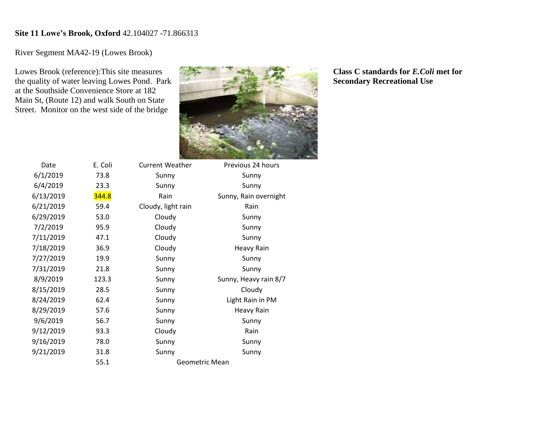#### **Site 11 Lowe's Brook, Oxford** 42.104027 -71.866313

River Segment MA42-19 (Lowes Brook)

Lowes Brook (reference):This site measures the quality of water leaving Lowes Pond. Park at the Southside Convenience Store at 182 Main St, (Route 12) and walk South on State Street. Monitor on the west side of the bridge



Date E. Coli Current Weather Previous 24 hours 6/1/2019 73.8 Sunny Sunny 6/4/2019 23.3 Sunny Sunny  $6/13/2019$   $344.8$  Rain Sunny, Rain overnight 6/21/2019 59.4 Cloudy, light rain Rain 6/29/2019 53.0 Cloudy Sunny 7/2/2019 95.9 Cloudy Sunny 7/11/2019 47.1 Cloudy Sunny 7/18/2019 36.9 Cloudy Heavy Rain 7/27/2019 19.9 Sunny Sunny 7/31/2019 21.8 Sunny Sunny 8/9/2019 123.3 Sunny Sunny, Heavy rain 8/7 8/15/2019 28.5 Sunny Cloudy 8/24/2019 62.4 Sunny Light Rain in PM 8/29/2019 57.6 Sunny Heavy Rain 9/6/2019 56.7 Sunny Sunny 9/12/2019 93.3 Cloudy Rain 9/16/2019 78.0 Sunny Sunny 9/21/2019 31.8 Sunny Sunny 55.1 Geometric Mean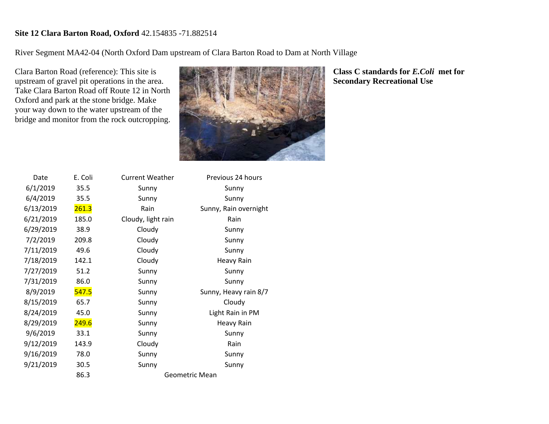# **Site 12 Clara Barton Road, Oxford** 42.154835 -71.882514

River Segment MA42-04 (North Oxford Dam upstream of Clara Barton Road to Dam at North Village

Clara Barton Road (reference): This site is upstream of gravel pit operations in the area. Take Clara Barton Road off Route 12 in North Oxford and park at the stone bridge. Make your way down to the water upstream of the bridge and monitor from the rock outcropping.



| Date      | E. Coli | <b>Current Weather</b> | Previous 24 hours     |
|-----------|---------|------------------------|-----------------------|
| 6/1/2019  | 35.5    | Sunny                  | Sunny                 |
| 6/4/2019  | 35.5    | Sunny                  | Sunny                 |
| 6/13/2019 | 261.3   | Rain                   | Sunny, Rain overnight |
| 6/21/2019 | 185.0   | Cloudy, light rain     | Rain                  |
| 6/29/2019 | 38.9    | Cloudy                 | Sunny                 |
| 7/2/2019  | 209.8   | Cloudy                 | Sunny                 |
| 7/11/2019 | 49.6    | Cloudy                 | Sunny                 |
| 7/18/2019 | 142.1   | Cloudy                 | <b>Heavy Rain</b>     |
| 7/27/2019 | 51.2    | Sunny                  | Sunny                 |
| 7/31/2019 | 86.0    | Sunny                  | Sunny                 |
| 8/9/2019  | 547.5   | Sunny                  | Sunny, Heavy rain 8/7 |
| 8/15/2019 | 65.7    | Sunny                  | Cloudy                |
| 8/24/2019 | 45.0    | Sunny                  | Light Rain in PM      |
| 8/29/2019 | 249.6   | Sunny                  | <b>Heavy Rain</b>     |
| 9/6/2019  | 33.1    | Sunny                  | Sunny                 |
| 9/12/2019 | 143.9   | Cloudy                 | Rain                  |
| 9/16/2019 | 78.0    | Sunny                  | Sunny                 |
| 9/21/2019 | 30.5    | Sunny                  | Sunny                 |
|           | 86.3    |                        | <b>Geometric Mean</b> |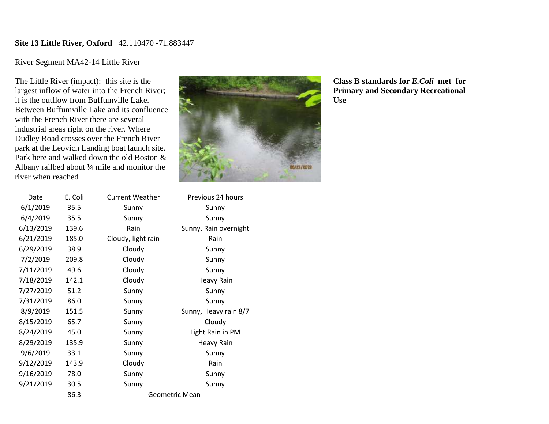### **Site 13 Little River, Oxford** 42.110470 -71.883447

# River Segment MA42-14 Little River

The Little River (impact): this site is the largest inflow of water into the French River; it is the outflow from Buffumville Lake. Between Buffumville Lake and its confluence with the French River there are several industrial areas right on the river. Where Dudley Road crosses over the French River park at the Leovich Landing boat launch site. Park here and walked down the old Boston & Albany railbed about ¼ mile and monitor the river when reached

| Date      | E. Coli | <b>Current Weather</b> | Previous 24 hours     |
|-----------|---------|------------------------|-----------------------|
| 6/1/2019  | 35.5    | Sunny                  | Sunny                 |
| 6/4/2019  | 35.5    | Sunny                  | Sunny                 |
| 6/13/2019 | 139.6   | Rain                   | Sunny, Rain overnight |
| 6/21/2019 | 185.0   | Cloudy, light rain     | Rain                  |
| 6/29/2019 | 38.9    | Cloudy                 | Sunny                 |
| 7/2/2019  | 209.8   | Cloudy                 | Sunny                 |
| 7/11/2019 | 49.6    | Cloudy                 | Sunny                 |
| 7/18/2019 | 142.1   | Cloudy                 | <b>Heavy Rain</b>     |
| 7/27/2019 | 51.2    | Sunny                  | Sunny                 |
| 7/31/2019 | 86.0    | Sunny                  | Sunny                 |
| 8/9/2019  | 151.5   | Sunny                  | Sunny, Heavy rain 8/7 |
| 8/15/2019 | 65.7    | Sunny                  | Cloudy                |
| 8/24/2019 | 45.0    | Sunny                  | Light Rain in PM      |
| 8/29/2019 | 135.9   | Sunny                  | <b>Heavy Rain</b>     |
| 9/6/2019  | 33.1    | Sunny                  | Sunny                 |
| 9/12/2019 | 143.9   | Cloudy                 | Rain                  |
| 9/16/2019 | 78.0    | Sunny                  | Sunny                 |
| 9/21/2019 | 30.5    | Sunny                  | Sunny                 |
|           | 86.3    |                        | Geometric Mean        |



**Class B standards for** *E.Coli* **met for Primary and Secondary Recreational Use**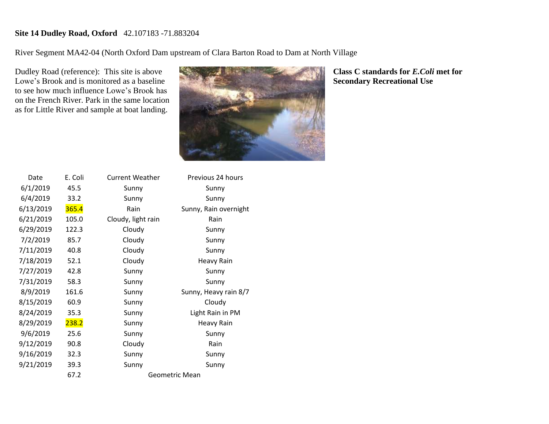# **Site 14 Dudley Road, Oxford** 42.107183 -71.883204

River Segment MA42-04 (North Oxford Dam upstream of Clara Barton Road to Dam at North Village

Dudley Road (reference): This site is above Lowe's Brook and is monitored as a baseline to see how much influence Lowe's Brook has on the French River. Park in the same location as for Little River and sample at boat landing.



| Date      | E. Coli | <b>Current Weather</b> | Previous 24 hours     |
|-----------|---------|------------------------|-----------------------|
| 6/1/2019  | 45.5    | Sunny                  | Sunny                 |
| 6/4/2019  | 33.2    | Sunny                  | Sunny                 |
| 6/13/2019 | 365.4   | Rain                   | Sunny, Rain overnight |
| 6/21/2019 | 105.0   | Cloudy, light rain     | Rain                  |
| 6/29/2019 | 122.3   | Cloudy                 | Sunny                 |
| 7/2/2019  | 85.7    | Cloudy                 | Sunny                 |
| 7/11/2019 | 40.8    | Cloudy                 | Sunny                 |
| 7/18/2019 | 52.1    | Cloudy                 | <b>Heavy Rain</b>     |
| 7/27/2019 | 42.8    | Sunny                  | Sunny                 |
| 7/31/2019 | 58.3    | Sunny                  | Sunny                 |
| 8/9/2019  | 161.6   | Sunny                  | Sunny, Heavy rain 8/7 |
| 8/15/2019 | 60.9    | Sunny                  | Cloudy                |
| 8/24/2019 | 35.3    | Sunny                  | Light Rain in PM      |
| 8/29/2019 | 238.2   | Sunny                  | <b>Heavy Rain</b>     |
| 9/6/2019  | 25.6    | Sunny                  | Sunny                 |
| 9/12/2019 | 90.8    | Cloudy                 | Rain                  |
| 9/16/2019 | 32.3    | Sunny                  | Sunny                 |
| 9/21/2019 | 39.3    | Sunny                  | Sunny                 |
|           | 67.2    |                        | <b>Geometric Mean</b> |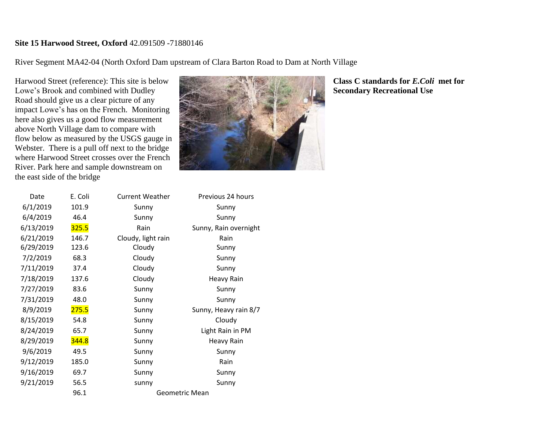#### **Site 15 Harwood Street, Oxford** 42.091509 -71880146

River Segment MA42-04 (North Oxford Dam upstream of Clara Barton Road to Dam at North Village

Harwood Street (reference): This site is below Lowe's Brook and combined with Dudley Road should give us a clear picture of any impact Lowe's has on the French. Monitoring here also gives us a good flow measurement above North Village dam to compare with flow below as measured by the USGS gauge in Webster. There is a pull off next to the bridge where Harwood Street crosses over the French River. Park here and sample downstream on the east side of the bridge



| Date      | E. Coli      | <b>Current Weather</b> | Previous 24 hours     |
|-----------|--------------|------------------------|-----------------------|
| 6/1/2019  | 101.9        | Sunny                  | Sunny                 |
| 6/4/2019  | 46.4         | Sunny                  | Sunny                 |
| 6/13/2019 | <b>325.5</b> | Rain                   | Sunny, Rain overnight |
| 6/21/2019 | 146.7        | Cloudy, light rain     | Rain                  |
| 6/29/2019 | 123.6        | Cloudy                 | Sunny                 |
| 7/2/2019  | 68.3         | Cloudy                 | Sunny                 |
| 7/11/2019 | 37.4         | Cloudy                 | Sunny                 |
| 7/18/2019 | 137.6        | Cloudy                 | <b>Heavy Rain</b>     |
| 7/27/2019 | 83.6         | Sunny                  | Sunny                 |
| 7/31/2019 | 48.0         | Sunny                  | Sunny                 |
| 8/9/2019  | 275.5        | Sunny                  | Sunny, Heavy rain 8/7 |
| 8/15/2019 | 54.8         | Sunny                  | Cloudy                |
| 8/24/2019 | 65.7         | Sunny                  | Light Rain in PM      |
| 8/29/2019 | 344.8        | Sunny                  | Heavy Rain            |
| 9/6/2019  | 49.5         | Sunny                  | Sunny                 |
| 9/12/2019 | 185.0        | Sunny                  | Rain                  |
| 9/16/2019 | 69.7         | Sunny                  | Sunny                 |
| 9/21/2019 | 56.5         | sunny                  | Sunny                 |
|           | 96.1         |                        | Geometric Mean        |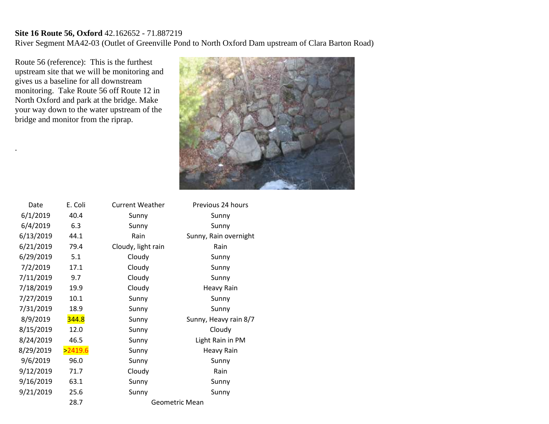#### **Site 16 Route 56, Oxford** 42.162652 - 71.887219 River Segment MA42-03 (Outlet of Greenville Pond to North Oxford Dam upstream of Clara Barton Road)

Route 56 (reference): This is the furthest upstream site that we will be monitoring and gives us a baseline for all downstream monitoring. Take Route 56 off Route 12 in North Oxford and park at the bridge. Make your way down to the water upstream of the bridge and monitor from the riprap.

.



| Date      | E. Coli | <b>Current Weather</b> | Previous 24 hours     |
|-----------|---------|------------------------|-----------------------|
| 6/1/2019  | 40.4    | Sunny                  | Sunny                 |
| 6/4/2019  | 6.3     | Sunny                  | Sunny                 |
| 6/13/2019 | 44.1    | Rain                   | Sunny, Rain overnight |
| 6/21/2019 | 79.4    | Cloudy, light rain     | Rain                  |
| 6/29/2019 | 5.1     | Cloudy                 | Sunny                 |
| 7/2/2019  | 17.1    | Cloudy                 | Sunny                 |
| 7/11/2019 | 9.7     | Cloudy                 | Sunny                 |
| 7/18/2019 | 19.9    | Cloudy                 | <b>Heavy Rain</b>     |
| 7/27/2019 | 10.1    | Sunny                  | Sunny                 |
| 7/31/2019 | 18.9    | Sunny                  | Sunny                 |
| 8/9/2019  | 344.8   | Sunny                  | Sunny, Heavy rain 8/7 |
| 8/15/2019 | 12.0    | Sunny                  | Cloudy                |
| 8/24/2019 | 46.5    | Sunny                  | Light Rain in PM      |
| 8/29/2019 | >2419.6 | Sunny                  | <b>Heavy Rain</b>     |
| 9/6/2019  | 96.0    | Sunny                  | Sunny                 |
| 9/12/2019 | 71.7    | Cloudy                 | Rain                  |
| 9/16/2019 | 63.1    | Sunny                  | Sunny                 |
| 9/21/2019 | 25.6    | Sunny                  | Sunny                 |
|           | 28.7    |                        | Geometric Mean        |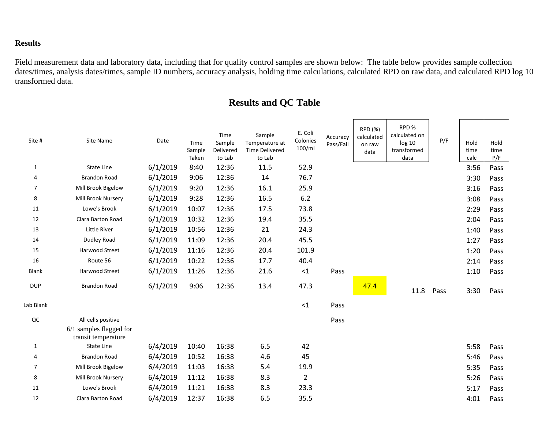# **Results**

Field measurement data and laboratory data, including that for quality control samples are shown below: The table below provides sample collection dates/times, analysis dates/times, sample ID numbers, accuracy analysis, holding time calculations, calculated RPD on raw data, and calculated RPD log 10 transformed data.

# **Results and QC Table**

| Site #         | Site Name                                        | Date     | Time<br>Sample<br>Taken | Time<br>Sample<br>Delivered<br>to Lab | Sample<br>Temperature at<br><b>Time Delivered</b><br>to Lab | E. Coli<br>Colonies<br>100/ml | Accuracy<br>Pass/Fail | RPD (%)<br>calculated<br>on raw<br>data | RPD%<br>calculated on<br>log 10<br>transformed<br>data | P/F  | Hold<br>time<br>calc | Hold<br>time<br>P/F |
|----------------|--------------------------------------------------|----------|-------------------------|---------------------------------------|-------------------------------------------------------------|-------------------------------|-----------------------|-----------------------------------------|--------------------------------------------------------|------|----------------------|---------------------|
| 1              | <b>State Line</b>                                | 6/1/2019 | 8:40                    | 12:36                                 | 11.5                                                        | 52.9                          |                       |                                         |                                                        |      | 3:56                 | Pass                |
| 4              | <b>Brandon Road</b>                              | 6/1/2019 | 9:06                    | 12:36                                 | 14                                                          | 76.7                          |                       |                                         |                                                        |      | 3:30                 | Pass                |
| $\overline{7}$ | Mill Brook Bigelow                               | 6/1/2019 | 9:20                    | 12:36                                 | 16.1                                                        | 25.9                          |                       |                                         |                                                        |      | 3:16                 | Pass                |
| 8              | Mill Brook Nursery                               | 6/1/2019 | 9:28                    | 12:36                                 | 16.5                                                        | 6.2                           |                       |                                         |                                                        |      | 3:08                 | Pass                |
| 11             | Lowe's Brook                                     | 6/1/2019 | 10:07                   | 12:36                                 | 17.5                                                        | 73.8                          |                       |                                         |                                                        |      | 2:29                 | Pass                |
| 12             | Clara Barton Road                                | 6/1/2019 | 10:32                   | 12:36                                 | 19.4                                                        | 35.5                          |                       |                                         |                                                        |      | 2:04                 | Pass                |
| 13             | <b>Little River</b>                              | 6/1/2019 | 10:56                   | 12:36                                 | 21                                                          | 24.3                          |                       |                                         |                                                        |      | 1:40                 | Pass                |
| 14             | <b>Dudley Road</b>                               | 6/1/2019 | 11:09                   | 12:36                                 | 20.4                                                        | 45.5                          |                       |                                         |                                                        |      | 1:27                 | Pass                |
| 15             | Harwood Street                                   | 6/1/2019 | 11:16                   | 12:36                                 | 20.4                                                        | 101.9                         |                       |                                         |                                                        |      | 1:20                 | Pass                |
| 16             | Route 56                                         | 6/1/2019 | 10:22                   | 12:36                                 | 17.7                                                        | 40.4                          |                       |                                         |                                                        |      | 2:14                 | Pass                |
| <b>Blank</b>   | Harwood Street                                   | 6/1/2019 | 11:26                   | 12:36                                 | 21.6                                                        | ${<}1$                        | Pass                  |                                         |                                                        |      | 1:10                 | Pass                |
| <b>DUP</b>     | <b>Brandon Road</b>                              | 6/1/2019 | 9:06                    | 12:36                                 | 13.4                                                        | 47.3                          |                       | 47.4                                    | 11.8                                                   | Pass | 3:30                 | Pass                |
| Lab Blank      |                                                  |          |                         |                                       |                                                             | $<1$                          | Pass                  |                                         |                                                        |      |                      |                     |
| QC             | All cells positive                               |          |                         |                                       |                                                             |                               | Pass                  |                                         |                                                        |      |                      |                     |
|                | $6/1$ samples flagged for<br>transit temperature |          |                         |                                       |                                                             |                               |                       |                                         |                                                        |      |                      |                     |
| $\mathbf{1}$   | State Line                                       | 6/4/2019 | 10:40                   | 16:38                                 | 6.5                                                         | 42                            |                       |                                         |                                                        |      | 5:58                 | Pass                |
| 4              | <b>Brandon Road</b>                              | 6/4/2019 | 10:52                   | 16:38                                 | 4.6                                                         | 45                            |                       |                                         |                                                        |      | 5:46                 | Pass                |
| $\overline{7}$ | Mill Brook Bigelow                               | 6/4/2019 | 11:03                   | 16:38                                 | 5.4                                                         | 19.9                          |                       |                                         |                                                        |      | 5:35                 | Pass                |
| 8              | Mill Brook Nursery                               | 6/4/2019 | 11:12                   | 16:38                                 | 8.3                                                         | $\overline{2}$                |                       |                                         |                                                        |      | 5:26                 | Pass                |
| 11             | Lowe's Brook                                     | 6/4/2019 | 11:21                   | 16:38                                 | 8.3                                                         | 23.3                          |                       |                                         |                                                        |      | 5:17                 | Pass                |
| 12             | Clara Barton Road                                | 6/4/2019 | 12:37                   | 16:38                                 | 6.5                                                         | 35.5                          |                       |                                         |                                                        |      | 4:01                 | Pass                |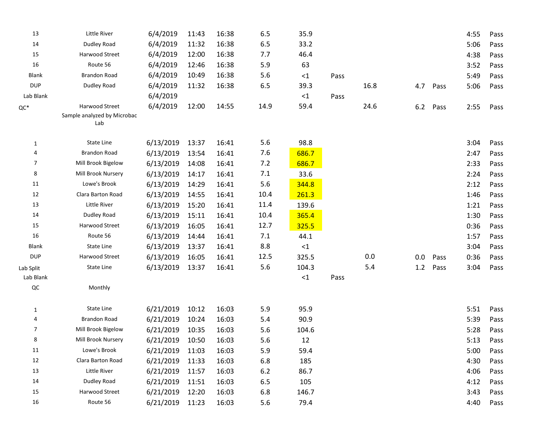| 13           | Little River                                         | 6/4/2019        | 11:43 | 16:38 | 6.5  | 35.9     |      |      |     |      | 4:55 | Pass |
|--------------|------------------------------------------------------|-----------------|-------|-------|------|----------|------|------|-----|------|------|------|
| 14           | Dudley Road                                          | 6/4/2019        | 11:32 | 16:38 | 6.5  | 33.2     |      |      |     |      | 5:06 | Pass |
| 15           | Harwood Street                                       | 6/4/2019        | 12:00 | 16:38 | 7.7  | 46.4     |      |      |     |      | 4:38 | Pass |
| 16           | Route 56                                             | 6/4/2019        | 12:46 | 16:38 | 5.9  | 63       |      |      |     |      | 3:52 | Pass |
| <b>Blank</b> | <b>Brandon Road</b>                                  | 6/4/2019        | 10:49 | 16:38 | 5.6  | $\leq$ 1 | Pass |      |     |      | 5:49 | Pass |
| <b>DUP</b>   | Dudley Road                                          | 6/4/2019        | 11:32 | 16:38 | 6.5  | 39.3     |      | 16.8 | 4.7 | Pass | 5:06 | Pass |
| Lab Blank    |                                                      | 6/4/2019        |       |       |      | $\leq$ 1 | Pass |      |     |      |      |      |
| ${\sf QC}^*$ | Harwood Street<br>Sample analyzed by Microbac<br>Lab | 6/4/2019        | 12:00 | 14:55 | 14.9 | 59.4     |      | 24.6 | 6.2 | Pass | 2:55 | Pass |
| 1            | State Line                                           | 6/13/2019       | 13:37 | 16:41 | 5.6  | 98.8     |      |      |     |      | 3:04 | Pass |
| 4            | <b>Brandon Road</b>                                  | 6/13/2019       | 13:54 | 16:41 | 7.6  | 686.7    |      |      |     |      | 2:47 | Pass |
| 7            | Mill Brook Bigelow                                   | 6/13/2019       | 14:08 | 16:41 | 7.2  | 686.7    |      |      |     |      | 2:33 | Pass |
| 8            | Mill Brook Nursery                                   | 6/13/2019       | 14:17 | 16:41 | 7.1  | 33.6     |      |      |     |      | 2:24 | Pass |
| 11           | Lowe's Brook                                         | 6/13/2019       | 14:29 | 16:41 | 5.6  | 344.8    |      |      |     |      | 2:12 | Pass |
| 12           | Clara Barton Road                                    | 6/13/2019       | 14:55 | 16:41 | 10.4 | 261.3    |      |      |     |      | 1:46 | Pass |
| 13           | Little River                                         | 6/13/2019       | 15:20 | 16:41 | 11.4 | 139.6    |      |      |     |      | 1:21 | Pass |
| 14           | Dudley Road                                          | 6/13/2019       | 15:11 | 16:41 | 10.4 | 365.4    |      |      |     |      | 1:30 | Pass |
| 15           | Harwood Street                                       | 6/13/2019       | 16:05 | 16:41 | 12.7 | 325.5    |      |      |     |      | 0:36 | Pass |
| 16           | Route 56                                             | 6/13/2019       | 14:44 | 16:41 | 7.1  | 44.1     |      |      |     |      | 1:57 | Pass |
| <b>Blank</b> | State Line                                           | 6/13/2019       | 13:37 | 16:41 | 8.8  | ${<}1$   |      |      |     |      | 3:04 | Pass |
| <b>DUP</b>   | Harwood Street                                       | 6/13/2019       | 16:05 | 16:41 | 12.5 | 325.5    |      | 0.0  | 0.0 | Pass | 0:36 | Pass |
| Lab Split    | State Line                                           | 6/13/2019       | 13:37 | 16:41 | 5.6  | 104.3    |      | 5.4  | 1.2 | Pass | 3:04 | Pass |
| Lab Blank    |                                                      |                 |       |       |      | $\leq 1$ | Pass |      |     |      |      |      |
| QC           | Monthly                                              |                 |       |       |      |          |      |      |     |      |      |      |
| $\mathbf{1}$ | State Line                                           | 6/21/2019       | 10:12 | 16:03 | 5.9  | 95.9     |      |      |     |      | 5:51 | Pass |
| 4            | <b>Brandon Road</b>                                  | 6/21/2019       | 10:24 | 16:03 | 5.4  | 90.9     |      |      |     |      | 5:39 | Pass |
| 7            | Mill Brook Bigelow                                   | 6/21/2019       | 10:35 | 16:03 | 5.6  | 104.6    |      |      |     |      | 5:28 | Pass |
| 8            | Mill Brook Nursery                                   | 6/21/2019 10:50 |       | 16:03 | 5.6  | 12       |      |      |     |      | 5:13 | Pass |
| 11           | Lowe's Brook                                         | 6/21/2019       | 11:03 | 16:03 | 5.9  | 59.4     |      |      |     |      | 5:00 | Pass |
| 12           | Clara Barton Road                                    | 6/21/2019       | 11:33 | 16:03 | 6.8  | 185      |      |      |     |      | 4:30 | Pass |
| 13           | Little River                                         | 6/21/2019       | 11:57 | 16:03 | 6.2  | 86.7     |      |      |     |      | 4:06 | Pass |
| 14           | Dudley Road                                          | 6/21/2019       | 11:51 | 16:03 | 6.5  | 105      |      |      |     |      | 4:12 | Pass |
| 15           | Harwood Street                                       | 6/21/2019       | 12:20 | 16:03 | 6.8  | 146.7    |      |      |     |      | 3:43 | Pass |
| 16           | Route 56                                             | 6/21/2019       | 11:23 | 16:03 | 5.6  | 79.4     |      |      |     |      | 4:40 | Pass |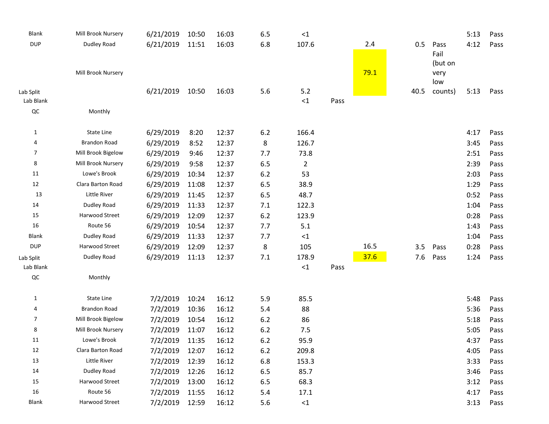| <b>Blank</b>   | Mill Brook Nursery  | 6/21/2019 | 10:50 | 16:03 | 6.5 | $\leq 1$ |      |      |      |         | 5:13 | Pass |
|----------------|---------------------|-----------|-------|-------|-----|----------|------|------|------|---------|------|------|
| <b>DUP</b>     | Dudley Road         | 6/21/2019 | 11:51 | 16:03 | 6.8 | 107.6    |      | 2.4  | 0.5  | Pass    | 4:12 | Pass |
|                |                     |           |       |       |     |          |      |      |      | Fail    |      |      |
|                |                     |           |       |       |     |          |      |      |      | (but on |      |      |
|                | Mill Brook Nursery  |           |       |       |     |          |      | 79.1 |      | very    |      |      |
|                |                     |           |       |       |     |          |      |      |      | low     |      |      |
| Lab Split      |                     | 6/21/2019 | 10:50 | 16:03 | 5.6 | 5.2      |      |      | 40.5 | counts) | 5:13 | Pass |
| Lab Blank      |                     |           |       |       |     | $\leq 1$ | Pass |      |      |         |      |      |
| $\sf QC$       | Monthly             |           |       |       |     |          |      |      |      |         |      |      |
| 1              | State Line          | 6/29/2019 | 8:20  | 12:37 | 6.2 | 166.4    |      |      |      |         | 4:17 | Pass |
| 4              | <b>Brandon Road</b> | 6/29/2019 | 8:52  | 12:37 | 8   | 126.7    |      |      |      |         | 3:45 | Pass |
| $\overline{7}$ | Mill Brook Bigelow  | 6/29/2019 | 9:46  | 12:37 | 7.7 | 73.8     |      |      |      |         | 2:51 | Pass |
| 8              | Mill Brook Nursery  | 6/29/2019 | 9:58  | 12:37 | 6.5 | 2        |      |      |      |         | 2:39 | Pass |
| 11             | Lowe's Brook        | 6/29/2019 | 10:34 | 12:37 | 6.2 | 53       |      |      |      |         | 2:03 | Pass |
| 12             | Clara Barton Road   | 6/29/2019 | 11:08 | 12:37 | 6.5 | 38.9     |      |      |      |         | 1:29 | Pass |
| 13             | Little River        | 6/29/2019 | 11:45 | 12:37 | 6.5 | 48.7     |      |      |      |         | 0:52 | Pass |
| 14             | Dudley Road         | 6/29/2019 | 11:33 | 12:37 | 7.1 | 122.3    |      |      |      |         | 1:04 | Pass |
| 15             | Harwood Street      | 6/29/2019 | 12:09 | 12:37 | 6.2 | 123.9    |      |      |      |         | 0:28 | Pass |
| 16             | Route 56            | 6/29/2019 | 10:54 | 12:37 | 7.7 | 5.1      |      |      |      |         | 1:43 | Pass |
| <b>Blank</b>   | Dudley Road         | 6/29/2019 | 11:33 | 12:37 | 7.7 | $\leq$ 1 |      |      |      |         | 1:04 | Pass |
| <b>DUP</b>     | Harwood Street      | 6/29/2019 | 12:09 | 12:37 | 8   | 105      |      | 16.5 | 3.5  | Pass    | 0:28 | Pass |
| Lab Split      | Dudley Road         | 6/29/2019 | 11:13 | 12:37 | 7.1 | 178.9    |      | 37.6 | 7.6  | Pass    | 1:24 | Pass |
| Lab Blank      |                     |           |       |       |     | $\leq 1$ | Pass |      |      |         |      |      |
| $\sf QC$       | Monthly             |           |       |       |     |          |      |      |      |         |      |      |
|                |                     |           |       |       |     |          |      |      |      |         |      |      |
| 1              | State Line          | 7/2/2019  | 10:24 | 16:12 | 5.9 | 85.5     |      |      |      |         | 5:48 | Pass |
| 4              | <b>Brandon Road</b> | 7/2/2019  | 10:36 | 16:12 | 5.4 | 88       |      |      |      |         | 5:36 | Pass |
| 7              | Mill Brook Bigelow  | 7/2/2019  | 10:54 | 16:12 | 6.2 | 86       |      |      |      |         | 5:18 | Pass |
| 8              | Mill Brook Nursery  | 7/2/2019  | 11:07 | 16:12 | 6.2 | 7.5      |      |      |      |         | 5:05 | Pass |
| 11             | Lowe's Brook        | 7/2/2019  | 11:35 | 16:12 | 6.2 | 95.9     |      |      |      |         | 4:37 | Pass |
| 12             | Clara Barton Road   | 7/2/2019  | 12:07 | 16:12 | 6.2 | 209.8    |      |      |      |         | 4:05 | Pass |
| 13             | Little River        | 7/2/2019  | 12:39 | 16:12 | 6.8 | 153.3    |      |      |      |         | 3:33 | Pass |
| 14             | Dudley Road         | 7/2/2019  | 12:26 | 16:12 | 6.5 | 85.7     |      |      |      |         | 3:46 | Pass |
| 15             | Harwood Street      | 7/2/2019  | 13:00 | 16:12 | 6.5 | 68.3     |      |      |      |         | 3:12 | Pass |
| 16             | Route 56            | 7/2/2019  | 11:55 | 16:12 | 5.4 | 17.1     |      |      |      |         | 4:17 | Pass |
| Blank          | Harwood Street      | 7/2/2019  | 12:59 | 16:12 | 5.6 | $\leq 1$ |      |      |      |         | 3:13 | Pass |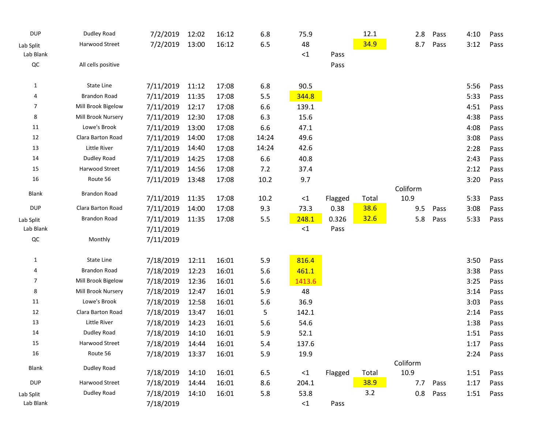| <b>DUP</b>   | Dudley Road         | 7/2/2019  | 12:02 | 16:12 | 6.8     | 75.9     |         | 12.1  | 2.8              | Pass | 4:10 | Pass |
|--------------|---------------------|-----------|-------|-------|---------|----------|---------|-------|------------------|------|------|------|
| Lab Split    | Harwood Street      | 7/2/2019  | 13:00 | 16:12 | $6.5\,$ | 48       |         | 34.9  | 8.7              | Pass | 3:12 | Pass |
| Lab Blank    |                     |           |       |       |         | ${<}1$   | Pass    |       |                  |      |      |      |
| $\sf QC$     | All cells positive  |           |       |       |         |          | Pass    |       |                  |      |      |      |
| 1            | State Line          | 7/11/2019 | 11:12 | 17:08 | 6.8     | 90.5     |         |       |                  |      | 5:56 | Pass |
| 4            | <b>Brandon Road</b> | 7/11/2019 | 11:35 | 17:08 | 5.5     | 344.8    |         |       |                  |      | 5:33 | Pass |
| 7            | Mill Brook Bigelow  | 7/11/2019 | 12:17 | 17:08 | 6.6     | 139.1    |         |       |                  |      | 4:51 | Pass |
| 8            | Mill Brook Nursery  | 7/11/2019 | 12:30 | 17:08 | 6.3     | 15.6     |         |       |                  |      | 4:38 | Pass |
| 11           | Lowe's Brook        | 7/11/2019 | 13:00 | 17:08 | 6.6     | 47.1     |         |       |                  |      | 4:08 | Pass |
| 12           | Clara Barton Road   | 7/11/2019 | 14:00 | 17:08 | 14:24   | 49.6     |         |       |                  |      | 3:08 | Pass |
| 13           | Little River        | 7/11/2019 | 14:40 | 17:08 | 14:24   | 42.6     |         |       |                  |      | 2:28 | Pass |
| 14           | Dudley Road         | 7/11/2019 | 14:25 | 17:08 | 6.6     | 40.8     |         |       |                  |      | 2:43 | Pass |
| 15           | Harwood Street      | 7/11/2019 | 14:56 | 17:08 | 7.2     | 37.4     |         |       |                  |      | 2:12 | Pass |
| 16           | Route 56            | 7/11/2019 | 13:48 | 17:08 | 10.2    | 9.7      |         |       |                  |      | 3:20 | Pass |
| Blank        | Brandon Road        | 7/11/2019 | 11:35 | 17:08 | 10.2    | ${<}1$   | Flagged | Total | Coliform<br>10.9 |      | 5:33 | Pass |
| <b>DUP</b>   | Clara Barton Road   | 7/11/2019 | 14:00 | 17:08 | 9.3     | 73.3     | 0.38    | 38.6  | 9.5              | Pass | 3:08 | Pass |
| Lab Split    | <b>Brandon Road</b> | 7/11/2019 | 11:35 | 17:08 | 5.5     | 248.1    | 0.326   | 32.6  | 5.8              | Pass | 5:33 | Pass |
| Lab Blank    |                     | 7/11/2019 |       |       |         | ${<}1$   | Pass    |       |                  |      |      |      |
| $\sf QC$     | Monthly             | 7/11/2019 |       |       |         |          |         |       |                  |      |      |      |
| 1            | State Line          | 7/18/2019 | 12:11 | 16:01 | 5.9     | 816.4    |         |       |                  |      | 3:50 | Pass |
| 4            | <b>Brandon Road</b> | 7/18/2019 | 12:23 | 16:01 | 5.6     | 461.1    |         |       |                  |      | 3:38 | Pass |
| 7            | Mill Brook Bigelow  | 7/18/2019 | 12:36 | 16:01 | 5.6     | 1413.6   |         |       |                  |      | 3:25 | Pass |
| 8            | Mill Brook Nursery  | 7/18/2019 | 12:47 | 16:01 | 5.9     | 48       |         |       |                  |      | 3:14 | Pass |
| 11           | Lowe's Brook        | 7/18/2019 | 12:58 | 16:01 | 5.6     | 36.9     |         |       |                  |      | 3:03 | Pass |
| 12           | Clara Barton Road   | 7/18/2019 | 13:47 | 16:01 | 5       | 142.1    |         |       |                  |      | 2:14 | Pass |
| 13           | Little River        | 7/18/2019 | 14:23 | 16:01 | 5.6     | 54.6     |         |       |                  |      | 1:38 | Pass |
| 14           | Dudley Road         | 7/18/2019 | 14:10 | 16:01 | 5.9     | 52.1     |         |       |                  |      | 1:51 | Pass |
| 15           | Harwood Street      | 7/18/2019 | 14:44 | 16:01 | 5.4     | 137.6    |         |       |                  |      | 1:17 | Pass |
| 16           | Route 56            | 7/18/2019 | 13:37 | 16:01 | 5.9     | 19.9     |         |       |                  |      | 2:24 | Pass |
|              |                     |           |       |       |         |          |         |       | Coliform         |      |      |      |
| <b>Blank</b> | Dudley Road         | 7/18/2019 | 14:10 | 16:01 | 6.5     | $\leq 1$ | Flagged | Total | 10.9             |      | 1:51 | Pass |
| <b>DUP</b>   | Harwood Street      | 7/18/2019 | 14:44 | 16:01 | 8.6     | 204.1    |         | 38.9  | 7.7              | Pass | 1:17 | Pass |
| Lab Split    | Dudley Road         | 7/18/2019 | 14:10 | 16:01 | 5.8     | 53.8     |         | 3.2   | 0.8              | Pass | 1:51 | Pass |
| Lab Blank    |                     | 7/18/2019 |       |       |         | ${<}1$   | Pass    |       |                  |      |      |      |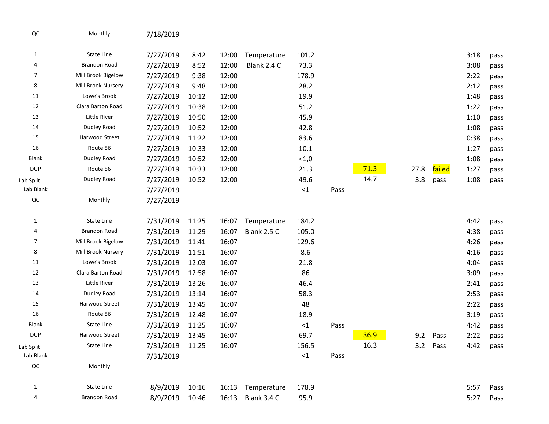| QC             | Monthly             | 7/18/2019 |       |       |             |        |      |      |      |          |      |      |
|----------------|---------------------|-----------|-------|-------|-------------|--------|------|------|------|----------|------|------|
| $\mathbf{1}$   | State Line          | 7/27/2019 | 8:42  | 12:00 | Temperature | 101.2  |      |      |      |          | 3:18 | pass |
| 4              | <b>Brandon Road</b> | 7/27/2019 | 8:52  | 12:00 | Blank 2.4 C | 73.3   |      |      |      |          | 3:08 | pass |
| $\overline{7}$ | Mill Brook Bigelow  | 7/27/2019 | 9:38  | 12:00 |             | 178.9  |      |      |      |          | 2:22 | pass |
| 8              | Mill Brook Nursery  | 7/27/2019 | 9:48  | 12:00 |             | 28.2   |      |      |      |          | 2:12 | pass |
| 11             | Lowe's Brook        | 7/27/2019 | 10:12 | 12:00 |             | 19.9   |      |      |      |          | 1:48 | pass |
| 12             | Clara Barton Road   | 7/27/2019 | 10:38 | 12:00 |             | 51.2   |      |      |      |          | 1:22 | pass |
| 13             | Little River        | 7/27/2019 | 10:50 | 12:00 |             | 45.9   |      |      |      |          | 1:10 | pass |
| 14             | Dudley Road         | 7/27/2019 | 10:52 | 12:00 |             | 42.8   |      |      |      |          | 1:08 | pass |
| 15             | Harwood Street      | 7/27/2019 | 11:22 | 12:00 |             | 83.6   |      |      |      |          | 0:38 | pass |
| 16             | Route 56            | 7/27/2019 | 10:33 | 12:00 |             | 10.1   |      |      |      |          | 1:27 | pass |
| <b>Blank</b>   | Dudley Road         | 7/27/2019 | 10:52 | 12:00 |             | < 1,0  |      |      |      |          | 1:08 | pass |
| <b>DUP</b>     | Route 56            | 7/27/2019 | 10:33 | 12:00 |             | 21.3   |      | 71.3 | 27.8 | failed   | 1:27 | pass |
| Lab Split      | Dudley Road         | 7/27/2019 | 10:52 | 12:00 |             | 49.6   |      | 14.7 | 3.8  | pass     | 1:08 | pass |
| Lab Blank      |                     | 7/27/2019 |       |       |             | ${<}1$ | Pass |      |      |          |      |      |
| $_{\rm QC}$    | Monthly             | 7/27/2019 |       |       |             |        |      |      |      |          |      |      |
| $\mathbf{1}$   | State Line          | 7/31/2019 | 11:25 | 16:07 | Temperature | 184.2  |      |      |      |          | 4:42 | pass |
| 4              | <b>Brandon Road</b> | 7/31/2019 | 11:29 | 16:07 | Blank 2.5 C | 105.0  |      |      |      |          | 4:38 | pass |
| $\overline{7}$ | Mill Brook Bigelow  | 7/31/2019 | 11:41 | 16:07 |             | 129.6  |      |      |      |          | 4:26 | pass |
| 8              | Mill Brook Nursery  | 7/31/2019 | 11:51 | 16:07 |             | 8.6    |      |      |      |          | 4:16 | pass |
| 11             | Lowe's Brook        | 7/31/2019 | 12:03 | 16:07 |             | 21.8   |      |      |      |          | 4:04 | pass |
| 12             | Clara Barton Road   | 7/31/2019 | 12:58 | 16:07 |             | 86     |      |      |      |          | 3:09 | pass |
| 13             | Little River        | 7/31/2019 | 13:26 | 16:07 |             | 46.4   |      |      |      |          | 2:41 | pass |
| 14             | Dudley Road         | 7/31/2019 | 13:14 | 16:07 |             | 58.3   |      |      |      |          | 2:53 | pass |
| 15             | Harwood Street      | 7/31/2019 | 13:45 | 16:07 |             | 48     |      |      |      |          | 2:22 | pass |
| 16             | Route 56            | 7/31/2019 | 12:48 | 16:07 |             | 18.9   |      |      |      |          | 3:19 | pass |
| <b>Blank</b>   | State Line          | 7/31/2019 | 11:25 | 16:07 |             | ${<}1$ | Pass |      |      |          | 4:42 | pass |
| <b>DUP</b>     | Harwood Street      | 7/31/2019 | 13:45 | 16:07 |             | 69.7   |      | 36.9 | 9.2  | Pass     | 2:22 | pass |
| Lab Split      | State Line          | 7/31/2019 | 11:25 | 16:07 |             | 156.5  |      | 16.3 |      | 3.2 Pass | 4:42 | pass |
| Lab Blank      |                     | 7/31/2019 |       |       |             | ${<}1$ | Pass |      |      |          |      |      |
| $_{\rm QC}$    | Monthly             |           |       |       |             |        |      |      |      |          |      |      |
| $\mathbf{1}$   | State Line          | 8/9/2019  | 10:16 | 16:13 | Temperature | 178.9  |      |      |      |          | 5:57 | Pass |
| 4              | <b>Brandon Road</b> | 8/9/2019  | 10:46 | 16:13 | Blank 3.4 C | 95.9   |      |      |      |          | 5:27 | Pass |
|                |                     |           |       |       |             |        |      |      |      |          |      |      |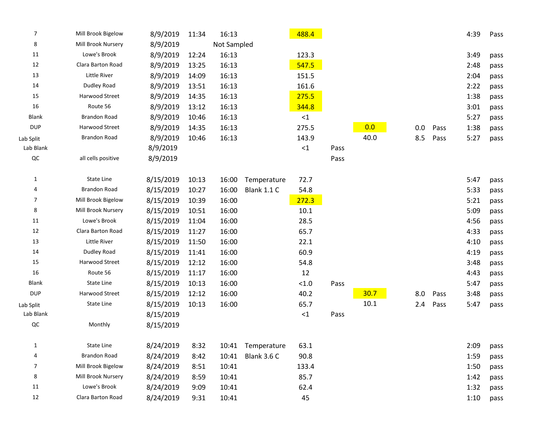| $\overline{7}$          | Mill Brook Bigelow  | 8/9/2019  | 11:34 | 16:13       |                    | 488.4    |      |      |     |      | 4:39 | Pass |
|-------------------------|---------------------|-----------|-------|-------------|--------------------|----------|------|------|-----|------|------|------|
| 8                       | Mill Brook Nursery  | 8/9/2019  |       | Not Sampled |                    |          |      |      |     |      |      |      |
| 11                      | Lowe's Brook        | 8/9/2019  | 12:24 | 16:13       |                    | 123.3    |      |      |     |      | 3:49 | pass |
| 12                      | Clara Barton Road   | 8/9/2019  | 13:25 | 16:13       |                    | 547.5    |      |      |     |      | 2:48 | pass |
| 13                      | Little River        | 8/9/2019  | 14:09 | 16:13       |                    | 151.5    |      |      |     |      | 2:04 | pass |
| 14                      | Dudley Road         | 8/9/2019  | 13:51 | 16:13       |                    | 161.6    |      |      |     |      | 2:22 | pass |
| 15                      | Harwood Street      | 8/9/2019  | 14:35 | 16:13       |                    | 275.5    |      |      |     |      | 1:38 | pass |
| 16                      | Route 56            | 8/9/2019  | 13:12 | 16:13       |                    | 344.8    |      |      |     |      | 3:01 | pass |
| <b>Blank</b>            | <b>Brandon Road</b> | 8/9/2019  | 10:46 | 16:13       |                    | <1       |      |      |     |      | 5:27 | pass |
| <b>DUP</b>              | Harwood Street      | 8/9/2019  | 14:35 | 16:13       |                    | 275.5    |      | 0.0  | 0.0 | Pass | 1:38 | pass |
| Lab Split               | <b>Brandon Road</b> | 8/9/2019  | 10:46 | 16:13       |                    | 143.9    |      | 40.0 | 8.5 | Pass | 5:27 | pass |
| Lab Blank               |                     | 8/9/2019  |       |             |                    | $\leq 1$ | Pass |      |     |      |      |      |
| QC                      | all cells positive  | 8/9/2019  |       |             |                    |          | Pass |      |     |      |      |      |
|                         |                     |           |       |             |                    |          |      |      |     |      |      |      |
| $\mathbf{1}$            | <b>State Line</b>   | 8/15/2019 | 10:13 | 16:00       | Temperature        | 72.7     |      |      |     |      | 5:47 | pass |
| 4                       | <b>Brandon Road</b> | 8/15/2019 | 10:27 | 16:00       | <b>Blank 1.1 C</b> | 54.8     |      |      |     |      | 5:33 | pass |
| $\overline{7}$          | Mill Brook Bigelow  | 8/15/2019 | 10:39 | 16:00       |                    | 272.3    |      |      |     |      | 5:21 | pass |
| 8                       | Mill Brook Nursery  | 8/15/2019 | 10:51 | 16:00       |                    | 10.1     |      |      |     |      | 5:09 | pass |
| 11                      | Lowe's Brook        | 8/15/2019 | 11:04 | 16:00       |                    | 28.5     |      |      |     |      | 4:56 | pass |
| 12                      | Clara Barton Road   | 8/15/2019 | 11:27 | 16:00       |                    | 65.7     |      |      |     |      | 4:33 | pass |
| 13                      | Little River        | 8/15/2019 | 11:50 | 16:00       |                    | 22.1     |      |      |     |      | 4:10 | pass |
| 14                      | Dudley Road         | 8/15/2019 | 11:41 | 16:00       |                    | 60.9     |      |      |     |      | 4:19 | pass |
| 15                      | Harwood Street      | 8/15/2019 | 12:12 | 16:00       |                    | 54.8     |      |      |     |      | 3:48 | pass |
| 16                      | Route 56            | 8/15/2019 | 11:17 | 16:00       |                    | 12       |      |      |     |      | 4:43 | pass |
| <b>Blank</b>            | State Line          | 8/15/2019 | 10:13 | 16:00       |                    | < 1.0    | Pass |      |     |      | 5:47 | pass |
| <b>DUP</b>              | Harwood Street      | 8/15/2019 | 12:12 | 16:00       |                    | 40.2     |      | 30.7 | 8.0 | Pass | 3:48 | pass |
| Lab Split               | State Line          | 8/15/2019 | 10:13 | 16:00       |                    | 65.7     |      | 10.1 | 2.4 | Pass | 5:47 | pass |
| Lab Blank               |                     | 8/15/2019 |       |             |                    | ${<}1$   | Pass |      |     |      |      |      |
| QC                      | Monthly             | 8/15/2019 |       |             |                    |          |      |      |     |      |      |      |
|                         |                     |           |       |             |                    |          |      |      |     |      |      |      |
| $\mathbf{1}$            | State Line          | 8/24/2019 | 8:32  | 10:41       | Temperature        | 63.1     |      |      |     |      | 2:09 | pass |
| $\overline{\mathbf{r}}$ | <b>Brandon Road</b> | 8/24/2019 | 8:42  | 10:41       | Blank 3.6 C        | 90.8     |      |      |     |      | 1:59 | pass |
| $\overline{7}$          | Mill Brook Bigelow  | 8/24/2019 | 8:51  | 10:41       |                    | 133.4    |      |      |     |      | 1:50 | pass |
| 8                       | Mill Brook Nursery  | 8/24/2019 | 8:59  | 10:41       |                    | 85.7     |      |      |     |      | 1:42 | pass |
| $11\,$                  | Lowe's Brook        | 8/24/2019 | 9:09  | 10:41       |                    | 62.4     |      |      |     |      | 1:32 | pass |
| 12                      | Clara Barton Road   | 8/24/2019 | 9:31  | 10:41       |                    | 45       |      |      |     |      | 1:10 | pass |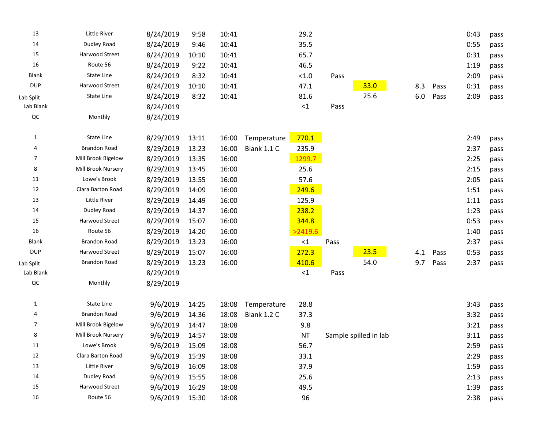| 13         | Little River        | 8/24/2019 | 9:58  | 10:41 |                    | 29.2      |      |                       |     |      | 0:43 | pass |
|------------|---------------------|-----------|-------|-------|--------------------|-----------|------|-----------------------|-----|------|------|------|
| 14         | Dudley Road         | 8/24/2019 | 9:46  | 10:41 |                    | 35.5      |      |                       |     |      | 0:55 | pass |
| 15         | Harwood Street      | 8/24/2019 | 10:10 | 10:41 |                    | 65.7      |      |                       |     |      | 0:31 | pass |
| 16         | Route 56            | 8/24/2019 | 9:22  | 10:41 |                    | 46.5      |      |                       |     |      | 1:19 | pass |
| Blank      | <b>State Line</b>   | 8/24/2019 | 8:32  | 10:41 |                    | < 1.0     | Pass |                       |     |      | 2:09 | pass |
| <b>DUP</b> | Harwood Street      | 8/24/2019 | 10:10 | 10:41 |                    | 47.1      |      | 33.0                  | 8.3 | Pass | 0:31 | pass |
| Lab Split  | State Line          | 8/24/2019 | 8:32  | 10:41 |                    | 81.6      |      | 25.6                  | 6.0 | Pass | 2:09 | pass |
| Lab Blank  |                     | 8/24/2019 |       |       |                    | ${<}1$    | Pass |                       |     |      |      |      |
| QC         | Monthly             | 8/24/2019 |       |       |                    |           |      |                       |     |      |      |      |
| 1          | State Line          | 8/29/2019 | 13:11 | 16:00 | Temperature        | 770.1     |      |                       |     |      | 2:49 | pass |
| 4          | <b>Brandon Road</b> | 8/29/2019 | 13:23 | 16:00 | <b>Blank 1.1 C</b> | 235.9     |      |                       |     |      | 2:37 | pass |
| 7          | Mill Brook Bigelow  | 8/29/2019 | 13:35 | 16:00 |                    | 1299.7    |      |                       |     |      | 2:25 | pass |
| 8          | Mill Brook Nursery  | 8/29/2019 | 13:45 | 16:00 |                    | 25.6      |      |                       |     |      | 2:15 | pass |
| 11         | Lowe's Brook        | 8/29/2019 | 13:55 | 16:00 |                    | 57.6      |      |                       |     |      | 2:05 | pass |
| 12         | Clara Barton Road   | 8/29/2019 | 14:09 | 16:00 |                    | 249.6     |      |                       |     |      | 1:51 | pass |
| 13         | <b>Little River</b> | 8/29/2019 | 14:49 | 16:00 |                    | 125.9     |      |                       |     |      | 1:11 | pass |
| 14         | Dudley Road         | 8/29/2019 | 14:37 | 16:00 |                    | 238.2     |      |                       |     |      | 1:23 | pass |
| 15         | Harwood Street      | 8/29/2019 | 15:07 | 16:00 |                    | 344.8     |      |                       |     |      | 0:53 | pass |
| 16         | Route 56            | 8/29/2019 | 14:20 | 16:00 |                    | >2419.6   |      |                       |     |      | 1:40 | pass |
| Blank      | <b>Brandon Road</b> | 8/29/2019 | 13:23 | 16:00 |                    | ${<}1$    | Pass |                       |     |      | 2:37 | pass |
| <b>DUP</b> | Harwood Street      | 8/29/2019 | 15:07 | 16:00 |                    | 272.3     |      | 23.5                  | 4.1 | Pass | 0:53 | pass |
| Lab Split  | <b>Brandon Road</b> | 8/29/2019 | 13:23 | 16:00 |                    | 410.6     |      | 54.0                  | 9.7 | Pass | 2:37 | pass |
| Lab Blank  |                     | 8/29/2019 |       |       |                    | ${<}1$    | Pass |                       |     |      |      |      |
| QC         | Monthly             | 8/29/2019 |       |       |                    |           |      |                       |     |      |      |      |
| 1          | State Line          | 9/6/2019  | 14:25 | 18:08 | Temperature        | 28.8      |      |                       |     |      | 3:43 | pass |
| 4          | <b>Brandon Road</b> | 9/6/2019  | 14:36 | 18:08 | <b>Blank 1.2 C</b> | 37.3      |      |                       |     |      | 3:32 | pass |
| 7          | Mill Brook Bigelow  | 9/6/2019  | 14:47 | 18:08 |                    | 9.8       |      |                       |     |      | 3:21 | pass |
| 8          | Mill Brook Nursery  | 9/6/2019  | 14:57 | 18:08 |                    | <b>NT</b> |      | Sample spilled in lab |     |      | 3:11 | pass |
| 11         | Lowe's Brook        | 9/6/2019  | 15:09 | 18:08 |                    | 56.7      |      |                       |     |      | 2:59 | pass |
| 12         | Clara Barton Road   | 9/6/2019  | 15:39 | 18:08 |                    | 33.1      |      |                       |     |      | 2:29 | pass |
| 13         | Little River        | 9/6/2019  | 16:09 | 18:08 |                    | 37.9      |      |                       |     |      | 1:59 | pass |
| 14         | Dudley Road         | 9/6/2019  | 15:55 | 18:08 |                    | 25.6      |      |                       |     |      | 2:13 | pass |
| 15         | Harwood Street      | 9/6/2019  | 16:29 | 18:08 |                    | 49.5      |      |                       |     |      | 1:39 | pass |
| 16         | Route 56            | 9/6/2019  | 15:30 | 18:08 |                    | 96        |      |                       |     |      | 2:38 | pass |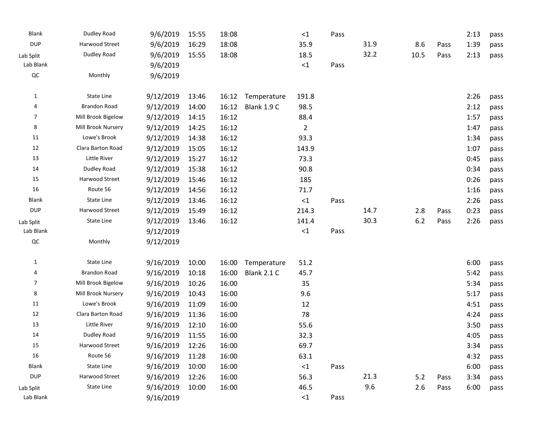| <b>Blank</b> | Dudley Road         | 9/6/2019  | 15:55 | 18:08 |             | $\leq 1$       | Pass |      |      |      | 2:13 | pass |
|--------------|---------------------|-----------|-------|-------|-------------|----------------|------|------|------|------|------|------|
| <b>DUP</b>   | Harwood Street      | 9/6/2019  | 16:29 | 18:08 |             | 35.9           |      | 31.9 | 8.6  | Pass | 1:39 | pass |
| Lab Split    | Dudley Road         | 9/6/2019  | 15:55 | 18:08 |             | 18.5           |      | 32.2 | 10.5 | Pass | 2:13 | pass |
| Lab Blank    |                     | 9/6/2019  |       |       |             | $\leq 1$       | Pass |      |      |      |      |      |
| $_{\rm QC}$  | Monthly             | 9/6/2019  |       |       |             |                |      |      |      |      |      |      |
| 1            | State Line          | 9/12/2019 | 13:46 | 16:12 | Temperature | 191.8          |      |      |      |      | 2:26 | pass |
| 4            | <b>Brandon Road</b> | 9/12/2019 | 14:00 | 16:12 | Blank 1.9 C | 98.5           |      |      |      |      | 2:12 | pass |
| 7            | Mill Brook Bigelow  | 9/12/2019 | 14:15 | 16:12 |             | 88.4           |      |      |      |      | 1:57 | pass |
| 8            | Mill Brook Nursery  | 9/12/2019 | 14:25 | 16:12 |             | $\overline{2}$ |      |      |      |      | 1:47 | pass |
| 11           | Lowe's Brook        | 9/12/2019 | 14:38 | 16:12 |             | 93.3           |      |      |      |      | 1:34 | pass |
| 12           | Clara Barton Road   | 9/12/2019 | 15:05 | 16:12 |             | 143.9          |      |      |      |      | 1:07 | pass |
| 13           | Little River        | 9/12/2019 | 15:27 | 16:12 |             | 73.3           |      |      |      |      | 0:45 | pass |
| 14           | Dudley Road         | 9/12/2019 | 15:38 | 16:12 |             | 90.8           |      |      |      |      | 0:34 | pass |
| 15           | Harwood Street      | 9/12/2019 | 15:46 | 16:12 |             | 185            |      |      |      |      | 0:26 | pass |
| 16           | Route 56            | 9/12/2019 | 14:56 | 16:12 |             | 71.7           |      |      |      |      | 1:16 | pass |
| <b>Blank</b> | State Line          | 9/12/2019 | 13:46 | 16:12 |             | $\leq 1$       | Pass |      |      |      | 2:26 | pass |
| <b>DUP</b>   | Harwood Street      | 9/12/2019 | 15:49 | 16:12 |             | 214.3          |      | 14.7 | 2.8  | Pass | 0:23 | pass |
| Lab Split    | State Line          | 9/12/2019 | 13:46 | 16:12 |             | 141.4          |      | 30.3 | 6.2  | Pass | 2:26 | pass |
| Lab Blank    |                     | 9/12/2019 |       |       |             | $\leq 1$       | Pass |      |      |      |      |      |
| QC           | Monthly             | 9/12/2019 |       |       |             |                |      |      |      |      |      |      |
| 1            | State Line          | 9/16/2019 | 10:00 | 16:00 | Temperature | 51.2           |      |      |      |      | 6:00 | pass |
| 4            | <b>Brandon Road</b> | 9/16/2019 | 10:18 | 16:00 | Blank 2.1 C | 45.7           |      |      |      |      | 5:42 | pass |
| 7            | Mill Brook Bigelow  | 9/16/2019 | 10:26 | 16:00 |             | 35             |      |      |      |      | 5:34 | pass |
| 8            | Mill Brook Nursery  | 9/16/2019 | 10:43 | 16:00 |             | 9.6            |      |      |      |      | 5:17 | pass |
| 11           | Lowe's Brook        | 9/16/2019 | 11:09 | 16:00 |             | 12             |      |      |      |      | 4:51 | pass |
| 12           | Clara Barton Road   | 9/16/2019 | 11:36 | 16:00 |             | 78             |      |      |      |      | 4:24 | pass |
| 13           | Little River        | 9/16/2019 | 12:10 | 16:00 |             | 55.6           |      |      |      |      | 3:50 | pass |
| 14           | Dudley Road         | 9/16/2019 | 11:55 | 16:00 |             | 32.3           |      |      |      |      | 4:05 | pass |
| 15           | Harwood Street      | 9/16/2019 | 12:26 | 16:00 |             | 69.7           |      |      |      |      | 3:34 | pass |
| 16           | Route 56            | 9/16/2019 | 11:28 | 16:00 |             | 63.1           |      |      |      |      | 4:32 | pass |
| <b>Blank</b> | State Line          | 9/16/2019 | 10:00 | 16:00 |             | $\leq 1$       | Pass |      |      |      | 6:00 | pass |
| <b>DUP</b>   | Harwood Street      | 9/16/2019 | 12:26 | 16:00 |             | 56.3           |      | 21.3 | 5.2  | Pass | 3:34 | pass |
| Lab Split    | State Line          | 9/16/2019 | 10:00 | 16:00 |             | 46.5           |      | 9.6  | 2.6  | Pass | 6:00 | pass |
| Lab Blank    |                     | 9/16/2019 |       |       |             | ${<}1$         | Pass |      |      |      |      |      |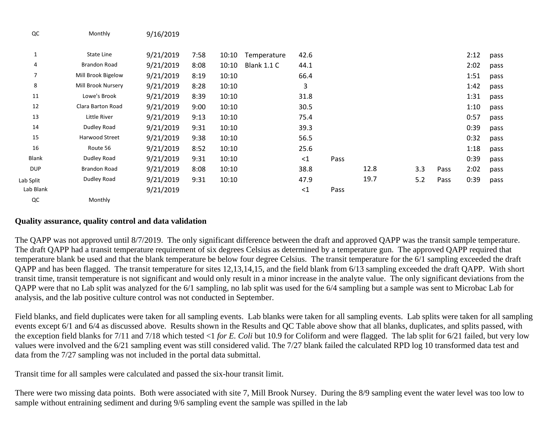| QC             | Monthly             | 9/16/2019 |      |       |                    |          |      |      |     |      |      |      |
|----------------|---------------------|-----------|------|-------|--------------------|----------|------|------|-----|------|------|------|
| 1              | State Line          | 9/21/2019 | 7:58 | 10:10 | Temperature        | 42.6     |      |      |     |      | 2:12 | pass |
| 4              | <b>Brandon Road</b> | 9/21/2019 | 8:08 | 10:10 | <b>Blank 1.1 C</b> | 44.1     |      |      |     |      | 2:02 | pass |
| $\overline{7}$ | Mill Brook Bigelow  | 9/21/2019 | 8:19 | 10:10 |                    | 66.4     |      |      |     |      | 1:51 | pass |
| 8              | Mill Brook Nursery  | 9/21/2019 | 8:28 | 10:10 |                    | 3        |      |      |     |      | 1:42 | pass |
| 11             | Lowe's Brook        | 9/21/2019 | 8:39 | 10:10 |                    | 31.8     |      |      |     |      | 1:31 | pass |
| 12             | Clara Barton Road   | 9/21/2019 | 9:00 | 10:10 |                    | 30.5     |      |      |     |      | 1:10 | pass |
| 13             | Little River        | 9/21/2019 | 9:13 | 10:10 |                    | 75.4     |      |      |     |      | 0:57 | pass |
| 14             | Dudley Road         | 9/21/2019 | 9:31 | 10:10 |                    | 39.3     |      |      |     |      | 0:39 | pass |
| 15             | Harwood Street      | 9/21/2019 | 9:38 | 10:10 |                    | 56.5     |      |      |     |      | 0:32 | pass |
| 16             | Route 56            | 9/21/2019 | 8:52 | 10:10 |                    | 25.6     |      |      |     |      | 1:18 | pass |
| Blank          | Dudley Road         | 9/21/2019 | 9:31 | 10:10 |                    | $\leq$ 1 | Pass |      |     |      | 0:39 | pass |
| <b>DUP</b>     | Brandon Road        | 9/21/2019 | 8:08 | 10:10 |                    | 38.8     |      | 12.8 | 3.3 | Pass | 2:02 | pass |
| Lab Split      | Dudley Road         | 9/21/2019 | 9:31 | 10:10 |                    | 47.9     |      | 19.7 | 5.2 | Pass | 0:39 | pass |
| Lab Blank      |                     | 9/21/2019 |      |       |                    | $\leq$ 1 | Pass |      |     |      |      |      |
| QC             | Monthly             |           |      |       |                    |          |      |      |     |      |      |      |

#### **Quality assurance, quality control and data validation**

The QAPP was not approved until 8/7/2019. The only significant difference between the draft and approved QAPP was the transit sample temperature. The draft QAPP had a transit temperature requirement of six degrees Celsius as determined by a temperature gun. The approved QAPP required that temperature blank be used and that the blank temperature be below four degree Celsius. The transit temperature for the 6/1 sampling exceeded the draft QAPP and has been flagged. The transit temperature for sites 12,13,14,15, and the field blank from 6/13 sampling exceeded the draft QAPP. With short transit time, transit temperature is not significant and would only result in a minor increase in the analyte value. The only significant deviations from the QAPP were that no Lab split was analyzed for the 6/1 sampling, no lab split was used for the 6/4 sampling but a sample was sent to Microbac Lab for analysis, and the lab positive culture control was not conducted in September.

Field blanks, and field duplicates were taken for all sampling events. Lab blanks were taken for all sampling events. Lab splits were taken for all sampling events except 6/1 and 6/4 as discussed above. Results shown in the Results and QC Table above show that all blanks, duplicates, and splits passed, with the exception field blanks for 7/11 and 7/18 which tested <1 *for E. Coli* but 10.9 for Coliform and were flagged. The lab split for 6/21 failed, but very low values were involved and the 6/21 sampling event was still considered valid. The 7/27 blank failed the calculated RPD log 10 transformed data test and data from the 7/27 sampling was not included in the portal data submittal.

Transit time for all samples were calculated and passed the six-hour transit limit.

There were two missing data points. Both were associated with site 7, Mill Brook Nursey. During the 8/9 sampling event the water level was too low to sample without entraining sediment and during 9/6 sampling event the sample was spilled in the lab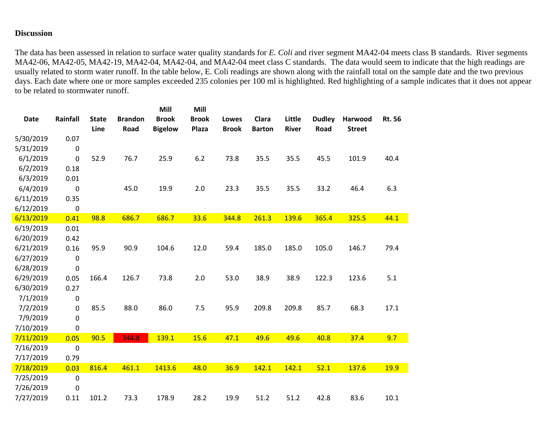# **Discussion**

The data has been assessed in relation to surface water quality standards for *E. Coli* and river segment MA42-04 meets class B standards. River segments MA42-06, MA42-05, MA42-19, MA42-04, MA42-04, and MA42-04 meet class C standards. The data would seem to indicate that the high readings are usually related to storm water runoff. In the table below, E. Coli readings are shown along with the rainfall total on the sample date and the two previous days. Each date where one or more samples exceeded 235 colonies per 100 ml is highlighted. Red highlighting of a sample indicates that it does not appear to be related to stormwater runoff.

|             |             |              |                | Mill           | Mill         |              |               |              |               |               |               |  |
|-------------|-------------|--------------|----------------|----------------|--------------|--------------|---------------|--------------|---------------|---------------|---------------|--|
| <b>Date</b> | Rainfall    | <b>State</b> | <b>Brandon</b> | <b>Brook</b>   | <b>Brook</b> | Lowes        | Clara         | Little       | <b>Dudley</b> | Harwood       | <b>Rt. 56</b> |  |
|             |             | Line         | Road           | <b>Bigelow</b> | Plaza        | <b>Brook</b> | <b>Barton</b> | <b>River</b> | Road          | <b>Street</b> |               |  |
| 5/30/2019   | 0.07        |              |                |                |              |              |               |              |               |               |               |  |
| 5/31/2019   | $\pmb{0}$   |              |                |                |              |              |               |              |               |               |               |  |
| 6/1/2019    | $\mathbf 0$ | 52.9         | 76.7           | 25.9           | 6.2          | 73.8         | 35.5          | 35.5         | 45.5          | 101.9         | 40.4          |  |
| 6/2/2019    | 0.18        |              |                |                |              |              |               |              |               |               |               |  |
| 6/3/2019    | 0.01        |              |                |                |              |              |               |              |               |               |               |  |
| 6/4/2019    | $\pmb{0}$   |              | 45.0           | 19.9           | 2.0          | 23.3         | 35.5          | 35.5         | 33.2          | 46.4          | 6.3           |  |
| 6/11/2019   | 0.35        |              |                |                |              |              |               |              |               |               |               |  |
| 6/12/2019   | $\pmb{0}$   |              |                |                |              |              |               |              |               |               |               |  |
| 6/13/2019   | 0.41        | 98.8         | 686.7          | 686.7          | 33.6         | 344.8        | 261.3         | 139.6        | 365.4         | 325.5         | 44.1          |  |
| 6/19/2019   | 0.01        |              |                |                |              |              |               |              |               |               |               |  |
| 6/20/2019   | 0.42        |              |                |                |              |              |               |              |               |               |               |  |
| 6/21/2019   | 0.16        | 95.9         | 90.9           | 104.6          | 12.0         | 59.4         | 185.0         | 185.0        | 105.0         | 146.7         | 79.4          |  |
| 6/27/2019   | $\pmb{0}$   |              |                |                |              |              |               |              |               |               |               |  |
| 6/28/2019   | $\pmb{0}$   |              |                |                |              |              |               |              |               |               |               |  |
| 6/29/2019   | 0.05        | 166.4        | 126.7          | 73.8           | 2.0          | 53.0         | 38.9          | 38.9         | 122.3         | 123.6         | 5.1           |  |
| 6/30/2019   | 0.27        |              |                |                |              |              |               |              |               |               |               |  |
| 7/1/2019    | $\pmb{0}$   |              |                |                |              |              |               |              |               |               |               |  |
| 7/2/2019    | 0           | 85.5         | 88.0           | 86.0           | 7.5          | 95.9         | 209.8         | 209.8        | 85.7          | 68.3          | 17.1          |  |
| 7/9/2019    | $\pmb{0}$   |              |                |                |              |              |               |              |               |               |               |  |
| 7/10/2019   | 0           |              |                |                |              |              |               |              |               |               |               |  |
| 7/11/2019   | 0.05        | 90.5         | 344.8          | 139.1          | 15.6         | 47.1         | 49.6          | 49.6         | 40.8          | 37.4          | 9.7           |  |
| 7/16/2019   | 0           |              |                |                |              |              |               |              |               |               |               |  |
| 7/17/2019   | 0.79        |              |                |                |              |              |               |              |               |               |               |  |
| 7/18/2019   | 0.03        | 816.4        | 461.1          | 1413.6         | 48.0         | 36.9         | 142.1         | 142.1        | 52.1          | 137.6         | <b>19.9</b>   |  |
| 7/25/2019   | $\pmb{0}$   |              |                |                |              |              |               |              |               |               |               |  |
| 7/26/2019   | 0           |              |                |                |              |              |               |              |               |               |               |  |
| 7/27/2019   | 0.11        | 101.2        | 73.3           | 178.9          | 28.2         | 19.9         | 51.2          | 51.2         | 42.8          | 83.6          | 10.1          |  |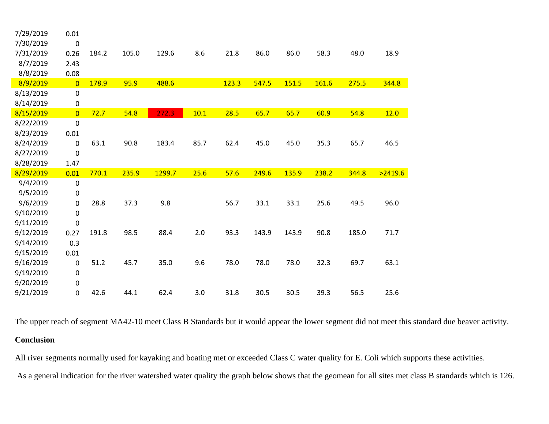| 7/29/2019 | 0.01           |       |       |        |      |       |       |       |       |       |         |
|-----------|----------------|-------|-------|--------|------|-------|-------|-------|-------|-------|---------|
| 7/30/2019 | $\pmb{0}$      |       |       |        |      |       |       |       |       |       |         |
| 7/31/2019 | 0.26           | 184.2 | 105.0 | 129.6  | 8.6  | 21.8  | 86.0  | 86.0  | 58.3  | 48.0  | 18.9    |
| 8/7/2019  | 2.43           |       |       |        |      |       |       |       |       |       |         |
| 8/8/2019  | 0.08           |       |       |        |      |       |       |       |       |       |         |
| 8/9/2019  | $\overline{0}$ | 178.9 | 95.9  | 488.6  |      | 123.3 | 547.5 | 151.5 | 161.6 | 275.5 | 344.8   |
| 8/13/2019 | $\pmb{0}$      |       |       |        |      |       |       |       |       |       |         |
| 8/14/2019 | $\pmb{0}$      |       |       |        |      |       |       |       |       |       |         |
| 8/15/2019 | $\overline{0}$ | 72.7  | 54.8  | 272.3  | 10.1 | 28.5  | 65.7  | 65.7  | 60.9  | 54.8  | 12.0    |
| 8/22/2019 | $\mathbf 0$    |       |       |        |      |       |       |       |       |       |         |
| 8/23/2019 | 0.01           |       |       |        |      |       |       |       |       |       |         |
| 8/24/2019 | $\mathbf 0$    | 63.1  | 90.8  | 183.4  | 85.7 | 62.4  | 45.0  | 45.0  | 35.3  | 65.7  | 46.5    |
| 8/27/2019 | 0              |       |       |        |      |       |       |       |       |       |         |
| 8/28/2019 | 1.47           |       |       |        |      |       |       |       |       |       |         |
| 8/29/2019 | 0.01           | 770.1 | 235.9 | 1299.7 | 25.6 | 57.6  | 249.6 | 135.9 | 238.2 | 344.8 | >2419.6 |
| 9/4/2019  | $\pmb{0}$      |       |       |        |      |       |       |       |       |       |         |
| 9/5/2019  | $\pmb{0}$      |       |       |        |      |       |       |       |       |       |         |
| 9/6/2019  | $\pmb{0}$      | 28.8  | 37.3  | 9.8    |      | 56.7  | 33.1  | 33.1  | 25.6  | 49.5  | 96.0    |
| 9/10/2019 | $\pmb{0}$      |       |       |        |      |       |       |       |       |       |         |
| 9/11/2019 | $\mathbf 0$    |       |       |        |      |       |       |       |       |       |         |
| 9/12/2019 | 0.27           | 191.8 | 98.5  | 88.4   | 2.0  | 93.3  | 143.9 | 143.9 | 90.8  | 185.0 | 71.7    |
| 9/14/2019 | 0.3            |       |       |        |      |       |       |       |       |       |         |
| 9/15/2019 | 0.01           |       |       |        |      |       |       |       |       |       |         |
| 9/16/2019 | $\pmb{0}$      | 51.2  | 45.7  | 35.0   | 9.6  | 78.0  | 78.0  | 78.0  | 32.3  | 69.7  | 63.1    |
| 9/19/2019 | $\pmb{0}$      |       |       |        |      |       |       |       |       |       |         |
| 9/20/2019 | $\pmb{0}$      |       |       |        |      |       |       |       |       |       |         |
| 9/21/2019 | $\pmb{0}$      | 42.6  | 44.1  | 62.4   | 3.0  | 31.8  | 30.5  | 30.5  | 39.3  | 56.5  | 25.6    |

The upper reach of segment MA42-10 meet Class B Standards but it would appear the lower segment did not meet this standard due beaver activity.

#### **Conclusion**

All river segments normally used for kayaking and boating met or exceeded Class C water quality for E. Coli which supports these activities.

As a general indication for the river watershed water quality the graph below shows that the geomean for all sites met class B standards which is 126.